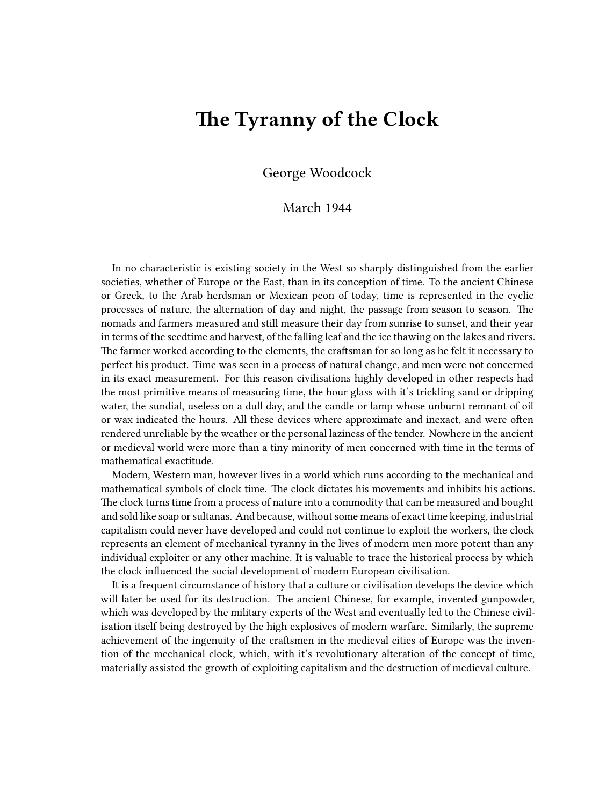## **The Tyranny of the Clock**

George Woodcock

## March 1944

In no characteristic is existing society in the West so sharply distinguished from the earlier societies, whether of Europe or the East, than in its conception of time. To the ancient Chinese or Greek, to the Arab herdsman or Mexican peon of today, time is represented in the cyclic processes of nature, the alternation of day and night, the passage from season to season. The nomads and farmers measured and still measure their day from sunrise to sunset, and their year in terms of the seedtime and harvest, of the falling leaf and the ice thawing on the lakes and rivers. The farmer worked according to the elements, the craftsman for so long as he felt it necessary to perfect his product. Time was seen in a process of natural change, and men were not concerned in its exact measurement. For this reason civilisations highly developed in other respects had the most primitive means of measuring time, the hour glass with it's trickling sand or dripping water, the sundial, useless on a dull day, and the candle or lamp whose unburnt remnant of oil or wax indicated the hours. All these devices where approximate and inexact, and were often rendered unreliable by the weather or the personal laziness of the tender. Nowhere in the ancient or medieval world were more than a tiny minority of men concerned with time in the terms of mathematical exactitude.

Modern, Western man, however lives in a world which runs according to the mechanical and mathematical symbols of clock time. The clock dictates his movements and inhibits his actions. The clock turns time from a process of nature into a commodity that can be measured and bought and sold like soap or sultanas. And because, without some means of exact time keeping, industrial capitalism could never have developed and could not continue to exploit the workers, the clock represents an element of mechanical tyranny in the lives of modern men more potent than any individual exploiter or any other machine. It is valuable to trace the historical process by which the clock influenced the social development of modern European civilisation.

It is a frequent circumstance of history that a culture or civilisation develops the device which will later be used for its destruction. The ancient Chinese, for example, invented gunpowder, which was developed by the military experts of the West and eventually led to the Chinese civilisation itself being destroyed by the high explosives of modern warfare. Similarly, the supreme achievement of the ingenuity of the craftsmen in the medieval cities of Europe was the invention of the mechanical clock, which, with it's revolutionary alteration of the concept of time, materially assisted the growth of exploiting capitalism and the destruction of medieval culture.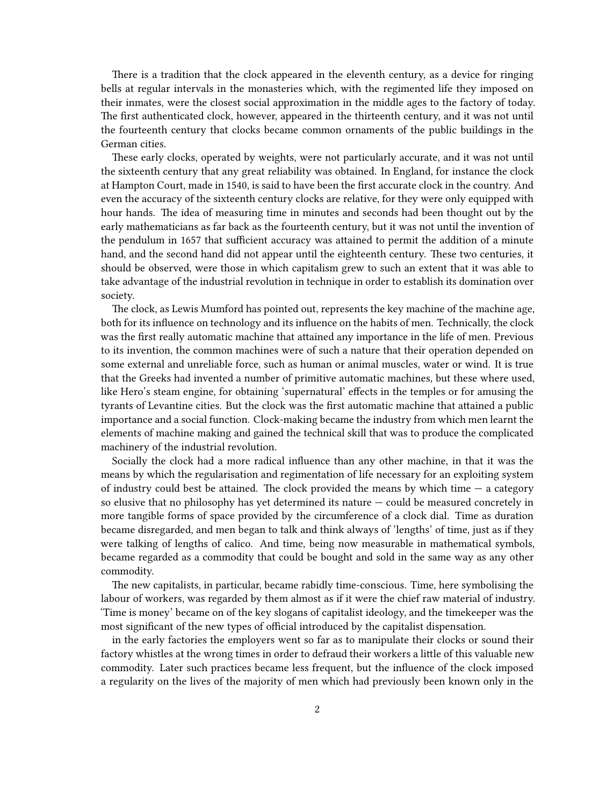There is a tradition that the clock appeared in the eleventh century, as a device for ringing bells at regular intervals in the monasteries which, with the regimented life they imposed on their inmates, were the closest social approximation in the middle ages to the factory of today. The first authenticated clock, however, appeared in the thirteenth century, and it was not until the fourteenth century that clocks became common ornaments of the public buildings in the German cities.

These early clocks, operated by weights, were not particularly accurate, and it was not until the sixteenth century that any great reliability was obtained. In England, for instance the clock at Hampton Court, made in 1540, is said to have been the first accurate clock in the country. And even the accuracy of the sixteenth century clocks are relative, for they were only equipped with hour hands. The idea of measuring time in minutes and seconds had been thought out by the early mathematicians as far back as the fourteenth century, but it was not until the invention of the pendulum in 1657 that sufficient accuracy was attained to permit the addition of a minute hand, and the second hand did not appear until the eighteenth century. These two centuries, it should be observed, were those in which capitalism grew to such an extent that it was able to take advantage of the industrial revolution in technique in order to establish its domination over society.

The clock, as Lewis Mumford has pointed out, represents the key machine of the machine age, both for its influence on technology and its influence on the habits of men. Technically, the clock was the first really automatic machine that attained any importance in the life of men. Previous to its invention, the common machines were of such a nature that their operation depended on some external and unreliable force, such as human or animal muscles, water or wind. It is true that the Greeks had invented a number of primitive automatic machines, but these where used, like Hero's steam engine, for obtaining 'supernatural' effects in the temples or for amusing the tyrants of Levantine cities. But the clock was the first automatic machine that attained a public importance and a social function. Clock-making became the industry from which men learnt the elements of machine making and gained the technical skill that was to produce the complicated machinery of the industrial revolution.

Socially the clock had a more radical influence than any other machine, in that it was the means by which the regularisation and regimentation of life necessary for an exploiting system of industry could best be attained. The clock provided the means by which time  $-$  a category so elusive that no philosophy has yet determined its nature — could be measured concretely in more tangible forms of space provided by the circumference of a clock dial. Time as duration became disregarded, and men began to talk and think always of 'lengths' of time, just as if they were talking of lengths of calico. And time, being now measurable in mathematical symbols, became regarded as a commodity that could be bought and sold in the same way as any other commodity.

The new capitalists, in particular, became rabidly time-conscious. Time, here symbolising the labour of workers, was regarded by them almost as if it were the chief raw material of industry. 'Time is money' became on of the key slogans of capitalist ideology, and the timekeeper was the most significant of the new types of official introduced by the capitalist dispensation.

in the early factories the employers went so far as to manipulate their clocks or sound their factory whistles at the wrong times in order to defraud their workers a little of this valuable new commodity. Later such practices became less frequent, but the influence of the clock imposed a regularity on the lives of the majority of men which had previously been known only in the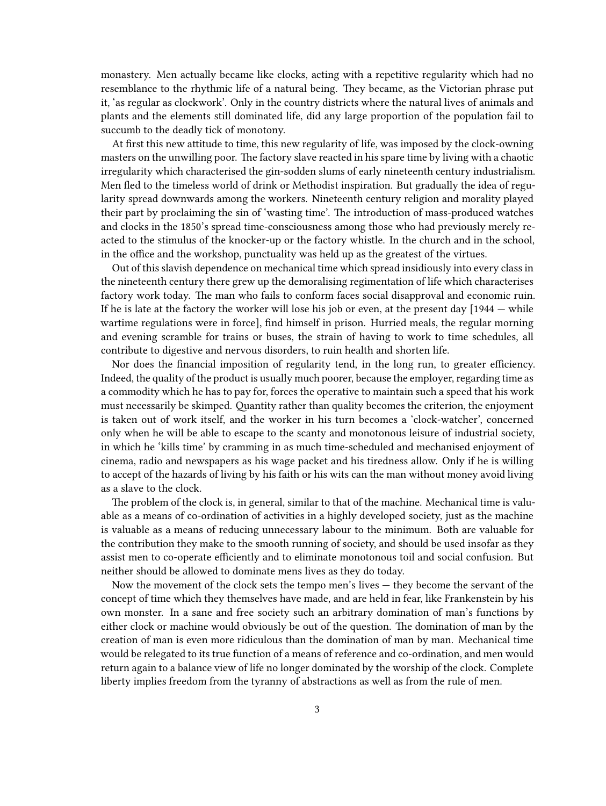monastery. Men actually became like clocks, acting with a repetitive regularity which had no resemblance to the rhythmic life of a natural being. They became, as the Victorian phrase put it, 'as regular as clockwork'. Only in the country districts where the natural lives of animals and plants and the elements still dominated life, did any large proportion of the population fail to succumb to the deadly tick of monotony.

At first this new attitude to time, this new regularity of life, was imposed by the clock-owning masters on the unwilling poor. The factory slave reacted in his spare time by living with a chaotic irregularity which characterised the gin-sodden slums of early nineteenth century industrialism. Men fled to the timeless world of drink or Methodist inspiration. But gradually the idea of regularity spread downwards among the workers. Nineteenth century religion and morality played their part by proclaiming the sin of 'wasting time'. The introduction of mass-produced watches and clocks in the 1850's spread time-consciousness among those who had previously merely reacted to the stimulus of the knocker-up or the factory whistle. In the church and in the school, in the office and the workshop, punctuality was held up as the greatest of the virtues.

Out of this slavish dependence on mechanical time which spread insidiously into every class in the nineteenth century there grew up the demoralising regimentation of life which characterises factory work today. The man who fails to conform faces social disapproval and economic ruin. If he is late at the factory the worker will lose his job or even, at the present day  $[1944 -$  while wartime regulations were in force], find himself in prison. Hurried meals, the regular morning and evening scramble for trains or buses, the strain of having to work to time schedules, all contribute to digestive and nervous disorders, to ruin health and shorten life.

Nor does the financial imposition of regularity tend, in the long run, to greater efficiency. Indeed, the quality of the product is usually much poorer, because the employer, regarding time as a commodity which he has to pay for, forces the operative to maintain such a speed that his work must necessarily be skimped. Quantity rather than quality becomes the criterion, the enjoyment is taken out of work itself, and the worker in his turn becomes a 'clock-watcher', concerned only when he will be able to escape to the scanty and monotonous leisure of industrial society, in which he 'kills time' by cramming in as much time-scheduled and mechanised enjoyment of cinema, radio and newspapers as his wage packet and his tiredness allow. Only if he is willing to accept of the hazards of living by his faith or his wits can the man without money avoid living as a slave to the clock.

The problem of the clock is, in general, similar to that of the machine. Mechanical time is valuable as a means of co-ordination of activities in a highly developed society, just as the machine is valuable as a means of reducing unnecessary labour to the minimum. Both are valuable for the contribution they make to the smooth running of society, and should be used insofar as they assist men to co-operate efficiently and to eliminate monotonous toil and social confusion. But neither should be allowed to dominate mens lives as they do today.

Now the movement of the clock sets the tempo men's lives — they become the servant of the concept of time which they themselves have made, and are held in fear, like Frankenstein by his own monster. In a sane and free society such an arbitrary domination of man's functions by either clock or machine would obviously be out of the question. The domination of man by the creation of man is even more ridiculous than the domination of man by man. Mechanical time would be relegated to its true function of a means of reference and co-ordination, and men would return again to a balance view of life no longer dominated by the worship of the clock. Complete liberty implies freedom from the tyranny of abstractions as well as from the rule of men.